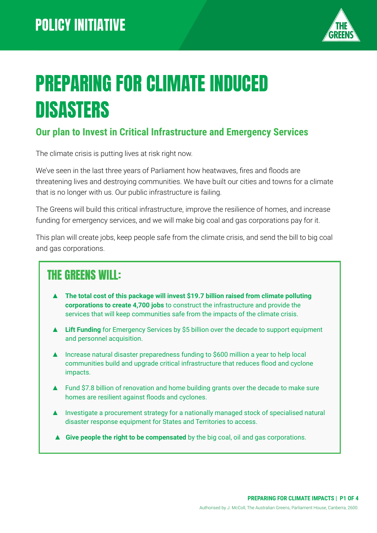

# PREPARING FOR CLIMATE INDUCED DISASTERS

#### **Our plan to Invest in Critical Infrastructure and Emergency Services**

The climate crisis is putting lives at risk right now.

We've seen in the last three years of Parliament how heatwaves, fires and floods are threatening lives and destroying communities. We have built our cities and towns for a climate that is no longer with us. Our public infrastructure is failing.

The Greens will build this critical infrastructure, improve the resilience of homes, and increase funding for emergency services, and we will make big coal and gas corporations pay for it.

This plan will create jobs, keep people safe from the climate crisis, and send the bill to big coal and gas corporations.

## THE GREENS WILL:

- ▲ **The total cost of this package will invest \$19.7 billion raised from climate polluting corporations to create 4,700 jobs** to construct the infrastructure and provide the services that will keep communities safe from the impacts of the climate crisis.
- ▲ Lift Funding for Emergency Services by \$5 billion over the decade to support equipment and personnel acquisition.
- ▲ Increase natural disaster preparedness funding to \$600 million a year to help local communities build and upgrade critical infrastructure that reduces flood and cyclone impacts.
- ▲ Fund \$7.8 billion of renovation and home building grants over the decade to make sure homes are resilient against floods and cyclones.
- ▲ Investigate a procurement strategy for a nationally managed stock of specialised natural disaster response equipment for States and Territories to access.
- ▲ **Give people the right to be compensated** by the big coal, oil and gas corporations.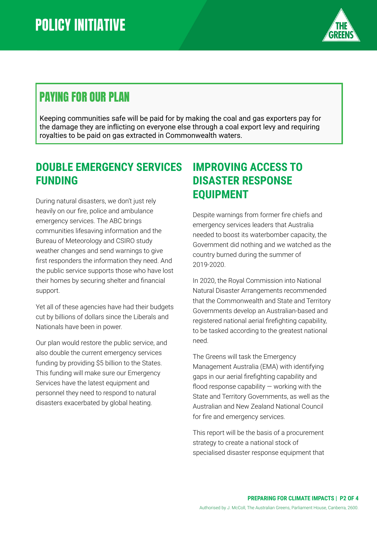

# PAYING FOR OUR PLAN

Keeping communities safe will be paid for by making the coal and gas exporters pay for the damage they are inflicting on everyone else through a coal export levy and requiring royalties to be paid on gas extracted in Commonwealth waters.

### **DOUBLE EMERGENCY SERVICES FUNDING**

During natural disasters, we don't just rely heavily on our fire, police and ambulance emergency services. The ABC brings communities lifesaving information and the Bureau of Meteorology and CSIRO study weather changes and send warnings to give first responders the information they need. And the public service supports those who have lost their homes by securing shelter and financial support.

Yet all of these agencies have had their budgets cut by billions of dollars since the Liberals and Nationals have been in power.

Our plan would restore the public service, and also double the current emergency services funding by providing \$5 billion to the States. This funding will make sure our Emergency Services have the latest equipment and personnel they need to respond to natural disasters exacerbated by global heating.

### **IMPROVING ACCESS TO DISASTER RESPONSE EQUIPMENT**

Despite warnings from former fire chiefs and emergency services leaders that Australia needed to boost its waterbomber capacity, the Government did nothing and we watched as the country burned during the summer of 2019-2020.

In 2020, the Royal Commission into National Natural Disaster Arrangements recommended that the Commonwealth and State and Territory Governments develop an Australian-based and registered national aerial firefighting capability, to be tasked according to the greatest national need.

The Greens will task the Emergency Management Australia (EMA) with identifying gaps in our aerial firefighting capability and flood response capability  $-$  working with the State and Territory Governments, as well as the Australian and New Zealand National Council for fire and emergency services.

This report will be the basis of a procurement strategy to create a national stock of specialised disaster response equipment that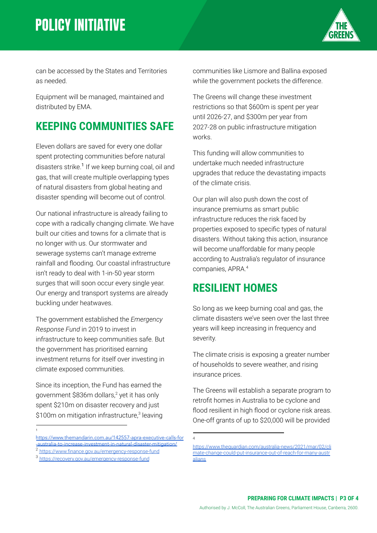# **POLICY INITIATIVE**



can be accessed by the States and Territories as needed.

Equipment will be managed, maintained and distributed by EMA.

### **KEEPING COMMUNITIES SAFE**

Eleven dollars are saved for every one dollar spent protecting communities before natural disasters strike.<sup>1</sup> If we keep burning coal, oil and gas, that will create multiple overlapping types of natural disasters from global heating and disaster spending will become out of control.

Our national infrastructure is already failing to cope with a radically changing climate. We have built our cities and towns for a climate that is no longer with us. Our stormwater and sewerage systems can't manage extreme rainfall and flooding. Our coastal infrastructure isn't ready to deal with 1-in-50 year storm surges that will soon occur every single year. Our energy and transport systems are already buckling under heatwaves.

The government established the *Emergency Response Fund* in 2019 to invest in infrastructure to keep communities safe. But the government has prioritised earning investment returns for itself over investing in climate exposed communities.

Since its inception, the Fund has earned the government \$836m dollars, $2$  yet it has only spent \$210m on disaster recovery and just  $$100m$  on mitigation infrastructure,<sup>3</sup> leaving

1

communities like Lismore and Ballina exposed while the government pockets the difference.

The Greens will change these investment restrictions so that \$600m is spent per year until 2026-27, and \$300m per year from 2027-28 on public infrastructure mitigation works.

This funding will allow communities to undertake much needed infrastructure upgrades that reduce the devastating impacts of the climate crisis.

Our plan will also push down the cost of insurance premiums as smart public infrastructure reduces the risk faced by properties exposed to specific types of natural disasters. Without taking this action, insurance will become unaffordable for many people according to Australia's regulator of insurance companies, APRA.<sup>4</sup>

#### **RESILIENT HOMES**

So long as we keep burning coal and gas, the climate disasters we've seen over the last three years will keep increasing in frequency and severity.

The climate crisis is exposing a greater number of households to severe weather, and rising insurance prices.

The Greens will establish a separate program to retrofit homes in Australia to be cyclone and flood resilient in high flood or cyclone risk areas. One-off grants of up to \$20,000 will be provided

4

[https://www.themandarin.com.au/142557-apra-executive-calls-for](https://www.themandarin.com.au/142557-apra-executive-calls-for-australia-to-increase-investment-in-natural-disaster-mitigation/) [-australia-to-increase-investment-in-natural-disaster-mitigation/](https://www.themandarin.com.au/142557-apra-executive-calls-for-australia-to-increase-investment-in-natural-disaster-mitigation/)

<https://www.finance.gov.au/emergency-response-fund>

<sup>3</sup> <https://recovery.gov.au/emergency-response-fund>

[https://www.theguardian.com/australia-news/2021/mar/02/cli](https://www.theguardian.com/australia-news/2021/mar/02/climate-change-could-put-insurance-out-of-reach-for-many-australians) [mate-change-could-put-insurance-out-of-reach-for-many-austr](https://www.theguardian.com/australia-news/2021/mar/02/climate-change-could-put-insurance-out-of-reach-for-many-australians) [alians](https://www.theguardian.com/australia-news/2021/mar/02/climate-change-could-put-insurance-out-of-reach-for-many-australians)